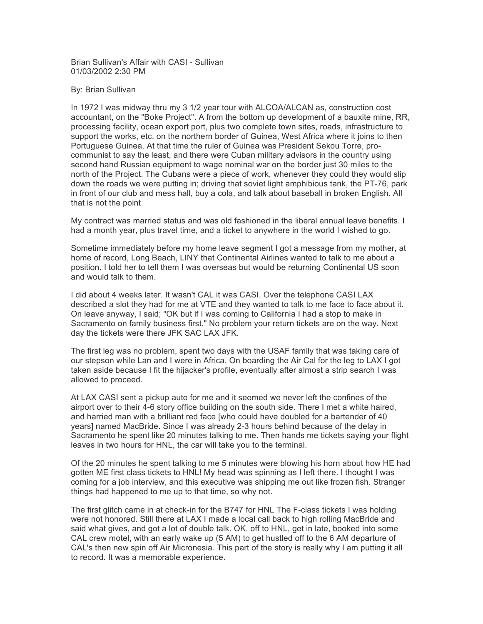Brian Sullivan's Affair with CASI - Sullivan 01/03/2002 2:30 PM

## By: Brian Sullivan

In 1972 I was midway thru my 3 1/2 year tour with ALCOA/ALCAN as, construction cost accountant, on the "Boke Project". A from the bottom up development of a bauxite mine, RR, processing facility, ocean export port, plus two complete town sites, roads, infrastructure to support the works, etc. on the northern border of Guinea, West Africa where it joins to then Portuguese Guinea. At that time the ruler of Guinea was President Sekou Torre, procommunist to say the least, and there were Cuban military advisors in the country using second hand Russian equipment to wage nominal war on the border just 30 miles to the north of the Project. The Cubans were a piece of work, whenever they could they would slip down the roads we were putting in; driving that soviet light amphibious tank, the PT-76, park in front of our club and mess hall, buy a cola, and talk about baseball in broken English. All that is not the point.

My contract was married status and was old fashioned in the liberal annual leave benefits. I had a month year, plus travel time, and a ticket to anywhere in the world I wished to go.

Sometime immediately before my home leave segment I got a message from my mother, at home of record, Long Beach, LINY that Continental Airlines wanted to talk to me about a position. I told her to tell them I was overseas but would be returning Continental US soon and would talk to them.

I did about 4 weeks later. It wasn't CAL it was CASI. Over the telephone CASI LAX described a slot they had for me at VTE and they wanted to talk to me face to face about it. On leave anyway, I said; "OK but if I was coming to California I had a stop to make in Sacramento on family business first." No problem your return tickets are on the way. Next day the tickets were there JFK SAC LAX JFK.

The first leg was no problem, spent two days with the USAF family that was taking care of our stepson while Lan and I were in Africa. On boarding the Air Cal for the leg to LAX I got taken aside because I fit the hijacker's profile, eventually after almost a strip search I was allowed to proceed.

At LAX CASI sent a pickup auto for me and it seemed we never left the confines of the airport over to their 4-6 story office building on the south side. There I met a white haired, and harried man with a brilliant red face [who could have doubled for a bartender of 40 years] named MacBride. Since I was already 2-3 hours behind because of the delay in Sacramento he spent like 20 minutes talking to me. Then hands me tickets saying your flight leaves in two hours for HNL, the car will take you to the terminal.

Of the 20 minutes he spent talking to me 5 minutes were blowing his horn about how HE had gotten ME first class tickets to HNL! My head was spinning as I left there. I thought I was coming for a job interview, and this executive was shipping me out like frozen fish. Stranger things had happened to me up to that time, so why not.

The first glitch came in at check-in for the B747 for HNL The F-class tickets I was holding were not honored. Still there at LAX I made a local call back to high rolling MacBride and said what gives, and got a lot of double talk. OK, off to HNL, get in late, booked into some CAL crew motel, with an early wake up (5 AM) to get hustled off to the 6 AM departure of CAL's then new spin off Air Micronesia. This part of the story is really why I am putting it all to record. It was a memorable experience.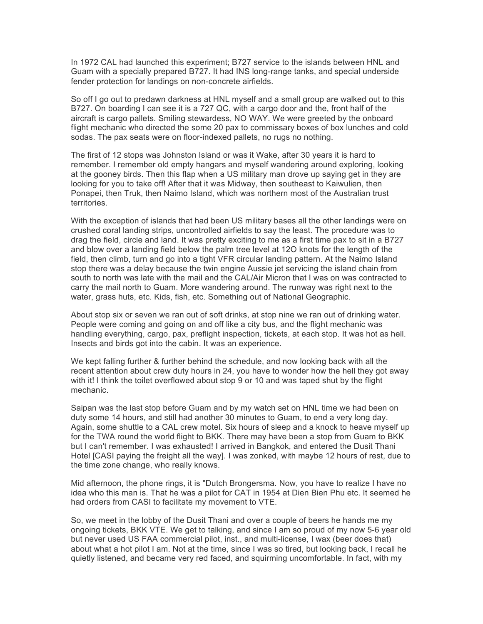In 1972 CAL had launched this experiment; B727 service to the islands between HNL and Guam with a specially prepared B727. It had INS long-range tanks, and special underside fender protection for landings on non-concrete airfields.

So off I go out to predawn darkness at HNL myself and a small group are walked out to this B727. On boarding I can see it is a 727 QC, with a cargo door and the, front half of the aircraft is cargo pallets. Smiling stewardess, NO WAY. We were greeted by the onboard flight mechanic who directed the some 20 pax to commissary boxes of box lunches and cold sodas. The pax seats were on floor-indexed pallets, no rugs no nothing.

The first of 12 stops was Johnston Island or was it Wake, after 30 years it is hard to remember. I remember old empty hangars and myself wandering around exploring, looking at the gooney birds. Then this flap when a US military man drove up saying get in they are looking for you to take off! After that it was Midway, then southeast to Kaiwulien, then Ponapei, then Truk, then Naimo Island, which was northern most of the Australian trust territories.

With the exception of islands that had been US military bases all the other landings were on crushed coral landing strips, uncontrolled airfields to say the least. The procedure was to drag the field, circle and land. It was pretty exciting to me as a first time pax to sit in a B727 and blow over a landing field below the palm tree level at 12O knots for the length of the field, then climb, turn and go into a tight VFR circular landing pattern. At the Naimo Island stop there was a delay because the twin engine Aussie jet servicing the island chain from south to north was late with the mail and the CAL/Air Micron that I was on was contracted to carry the mail north to Guam. More wandering around. The runway was right next to the water, grass huts, etc. Kids, fish, etc. Something out of National Geographic.

About stop six or seven we ran out of soft drinks, at stop nine we ran out of drinking water. People were coming and going on and off like a city bus, and the flight mechanic was handling everything, cargo, pax, preflight inspection, tickets, at each stop. It was hot as hell. Insects and birds got into the cabin. It was an experience.

We kept falling further & further behind the schedule, and now looking back with all the recent attention about crew duty hours in 24, you have to wonder how the hell they got away with it! I think the toilet overflowed about stop 9 or 10 and was taped shut by the flight mechanic.

Saipan was the last stop before Guam and by my watch set on HNL time we had been on duty some 14 hours, and still had another 30 minutes to Guam, to end a very long day. Again, some shuttle to a CAL crew motel. Six hours of sleep and a knock to heave myself up for the TWA round the world flight to BKK. There may have been a stop from Guam to BKK but I can't remember. I was exhausted! I arrived in Bangkok, and entered the Dusit Thani Hotel [CASI paying the freight all the way]. I was zonked, with maybe 12 hours of rest, due to the time zone change, who really knows.

Mid afternoon, the phone rings, it is "Dutch Brongersma. Now, you have to realize I have no idea who this man is. That he was a pilot for CAT in 1954 at Dien Bien Phu etc. It seemed he had orders from CASI to facilitate my movement to VTE.

So, we meet in the lobby of the Dusit Thani and over a couple of beers he hands me my ongoing tickets, BKK VTE. We get to talking, and since I am so proud of my now 5-6 year old but never used US FAA commercial pilot, inst., and multi-license, I wax (beer does that) about what a hot pilot I am. Not at the time, since I was so tired, but looking back, I recall he quietly listened, and became very red faced, and squirming uncomfortable. In fact, with my